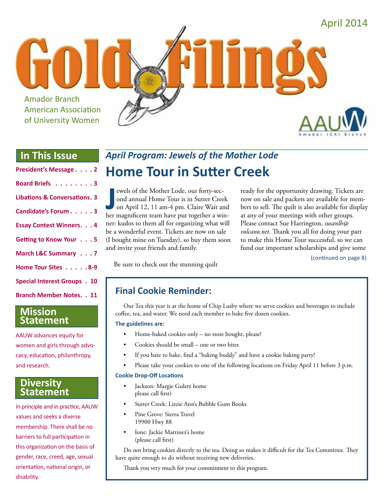

## **In This Issue**

| President's Message 2                   |
|-----------------------------------------|
| Board Briefs 3                          |
| <b>Libations &amp; Conversations. 3</b> |
| Candidate's Forum 3                     |
| <b>Essay Contest Winners. 4</b>         |
| Getting to Know Your 5                  |
| March L&C Summary 7                     |
| Home Tour Sites 8-9                     |
| <b>Special Interest Groups . 10</b>     |
| <b>Branch Member Notes. . 11</b>        |

### **Mission Statement**

AAUW advances equity for women and girls through advocacy, education, philanthropy, and research.

### **Diversity Statement**

In principle and in practice, AAUW values and seeks a diverse membership. There shall be no barriers to full participation in this organization on the basis of gender, race, creed, age, sexual orientation, national origin, or disability.

## *April Program: Jewels of the Mother Lode* **Home Tour in Sutter Creek**

**J** ewels of the Mother Lode, our forty-sec-<br>
ond annual Home Tour is in Sutter Creek<br>
on April 12, 11 am-4 pm. Claire Wait and<br>
her magnificent team have put together a winewels of the Mother Lode, our forty-second annual Home Tour is in Sutter Creek on April 12, 11 am-4 pm. Claire Wait and ner: kudos to them all for organizing what will be a wonderful event. Tickets are now on sale (I bought mine on Tuesday), so buy them soon and invite your friends and family.

ready for the opportunity drawing. Tickets are now on sale and packets are available for members to sell. The quilt is also available for display at any of your meetings with other groups. Please contact Sue Harrington, *susanlh@ volcano.net*. Thank you all for doing your part to make this Home Tour successful, so we can fund our important scholarships and give some

(continued on page 8)

Be sure to check out the stunning quilt

## **Final Cookie Reminder:**

Our Tea this year is at the home of Chip Lusby where we serve cookies and beverages to include coffee, tea, and water. We need each member to bake five dozen cookies.

#### **The guidelines are:**

- Home-baked cookies only no store bought, please!
- Cookies should be small one or two bites
- If you hate to bake, find a "baking buddy" and have a cookie baking party!
- Please take your cookies to one of the following locations on Friday April 11 before 3 p.m.

#### **Cookie Drop-Off Locations**

- Jackson: Margie Guletz home please call first)
- Sutter Creek: Lizzie Ann's Bubble Gum Books
- Pine Grove: Sierra Travel 19900 Hwy 88
- Ione: Jackie Martinez's home (please call first)

Do not bring cookies directly to the tea. Doing so makes it difficult for the Tea Committee. They have quite enough to do without receiving new deliveries.

Thank you very much for your commitment to this program.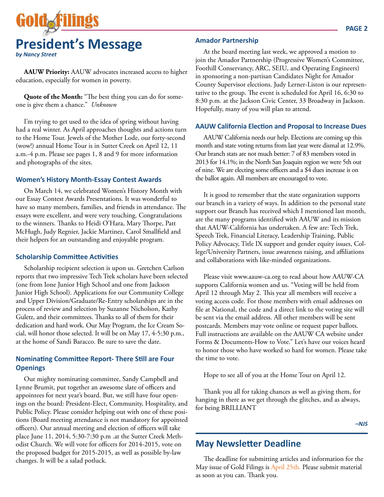

**AAUW Priority:** AAUW advocates increased access to higher education, especially for women in poverty.

**Quote of the Month:** "The best thing you can do for someone is give them a chance." *Unknown*

I'm trying to get used to the idea of spring without having had a real winter. As April approaches thoughts and actions turn to the Home Tour. Jewels of the Mother Lode, our forty-second (wow!) annual Home Tour is in Sutter Creek on April 12, 11 a.m.-4 p.m. Please see pages 1, 8 and 9 for more information and photographs of the sites.

#### **Women's History Month-Essay Contest Awards**

On March 14, we celebrated Women's History Month with our Essay Contest Awards Presentations. It was wonderful to have so many members, families, and friends in attendance. The essays were excellent, and were very touching. Congratulations to the winners. Thanks to Heidi O'Hara, Mary Thorpe, Patt McHugh, Judy Regnier, Jackie Martinez, Carol Smallfield and their helpers for an outstanding and enjoyable program.

#### **Scholarship Committee Activities**

Scholarship recipient selection is upon us. Gretchen Carlson reports that two impressive Tech Trek scholars have been selected (one from Ione Junior High School and one from Jackson Junior High School). Applications for our Community College and Upper Division/Graduate/Re-Entry scholarships are in the process of review and selection by Suzanne Nicholson, Kathy Guletz, and their committees. Thanks to all of them for their dedication and hard work. Our May Program, the Ice Cream Social, will honor those selected. It will be on May 17, 4-5:30 p.m., at the home of Sandi Baracco. Be sure to save the date.

### **Nominating Committee Report- There Still are Four Openings**

Our mighty nominating committee, Sandy Campbell and Lynne Brumit, put together an awesome slate of officers and appointees for next year's board. But, we still have four openings on the board: President-Elect, Community, Hospitality, and Public Policy. Please consider helping out with one of these positions (Board meeting attendance is not mandatory for appointed officers). Our annual meeting and election of officers will take place June 11, 2014, 5:30-7:30 p.m .at the Sutter Creek Methodist Church. We will vote for officers for 2014-2015, vote on the proposed budget for 2015-2015, as well as possible by-law changes. It will be a salad potluck.

### **Amador Partnership**

At the board meeting last week, we approved a motion to join the Amador Partnership (Progressive Women's Committee, Foothill Conservancy, ARC, SEIU, and Operating Engineers) in sponsoring a non-partisan Candidates Night for Amador County Supervisor elections. Judy Lerner-Liston is our representative to the group. The event is scheduled for April 16, 6:30 to 8:30 p.m. at the Jackson Civic Center, 33 Broadway in Jackson. Hopefully, many of you will plan to attend.

#### **AAUW California Election and Proposal to Increase Dues**

AAUW California needs our help. Elections are coming up this month and state voting returns from last year were dismal at 12.9%. Our branch stats are not much better: 7 of 83 members voted in 2013 for 14.1%; in the North San Joaquin region we were 5th out of nine. We are electing some officers and a \$4 dues increase is on the ballot again. All members are encouraged to vote.

It is good to remember that the state organization supports our branch in a variety of ways. In addition to the personal state support our Branch has received which I mentioned last month, are the many programs identified with AAUW and its mission that AAUW-California has undertaken. A few are: Tech Trek, Speech Trek, Financial Literacy, Leadership Training, Public Policy Advocacy, Title IX support and gender equity issues, College/University Partners, issue awareness raising, and affiliations and collaborations with like-minded organizations.

Please visit www.aauw-ca.org to read about how AAUW-CA supports California women and us. "Voting will be held from April 12 through May 2. This year all members will receive a voting access code. For those members with email addresses on file at National, the code and a direct link to the voting site will be sent via the email address. All other members will be sent postcards. Members may vote online or request paper ballots. Full instructions are available on the AAUW CA website under Forms & Documents-How to Vote." Let's have our voices heard to honor those who have worked so hard for women. Please take the time to vote.

Hope to see all of you at the Home Tour on April 12.

Thank you all for taking chances as well as giving them, for hanging in there as we get through the glitches, and as always, for being BRILLIANT

*–NJS*

### **May Newsletter Deadline**

The deadline for submitting articles and information for the May issue of Gold Filings is April 25th. Please submit material as soon as you can. Thank you.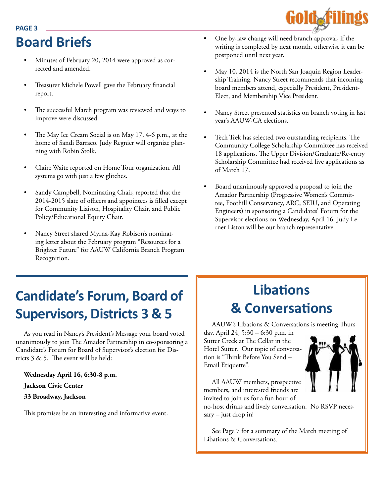# **Board Briefs**

**PAGE 3**

- Minutes of February 20, 2014 were approved as corrected and amended.
- Treasurer Michele Powell gave the February financial report.
- The successful March program was reviewed and ways to improve were discussed.
- The May Ice Cream Social is on May 17, 4-6 p.m., at the home of Sandi Barraco. Judy Regnier will organize planning with Robin Stolk.
- Claire Waite reported on Home Tour organization. All systems go with just a few glitches.
- Sandy Campbell, Nominating Chair, reported that the 2014-2015 slate of officers and appointees is filled except for Community Liaison, Hospitality Chair, and Public Policy/Educational Equity Chair.
- Nancy Street shared Myrna-Kay Robison's nominating letter about the February program "Resources for a Brighter Future" for AAUW California Branch Program Recognition.
- One by-law change will need branch approval, if the writing is completed by next month, otherwise it can be postponed until next year.
- May 10, 2014 is the North San Joaquin Region Leadership Training. Nancy Street recommends that incoming board members attend, especially President, President-Elect, and Membership Vice President.
- Nancy Street presented statistics on branch voting in last year's AAUW-CA elections.
- Tech Trek has selected two outstanding recipients. The Community College Scholarship Committee has received 18 applications. The Upper Division/Graduate/Re-entry Scholarship Committee had received five applications as of March 17.
- Board unanimously approved a proposal to join the Amador Partnership (Progressive Women's Committee, Foothill Conservancy, ARC, SEIU, and Operating Engineers) in sponsoring a Candidates' Forum for the Supervisor elections on Wednesday, April 16. Judy Lerner Liston will be our branch representative.

## **Candidate's Forum, Board of Supervisors, Districts 3 & 5**

As you read in Nancy's President's Message your board voted unanimously to join The Amador Partnership in co-sponsoring a Candidate's Forum for Board of Supervisor's election for Districts 3 & 5. The event will be held:

**Wednesday April 16, 6:30-8 p.m. Jackson Civic Center 33 Broadway, Jackson**

This promises be an interesting and informative event.

## **Libations & Conversations**

AAUW's Libations & Conversations is meeting Thursday, April 24, 5:30 – 6:30 p.m. in

Sutter Creek at The Cellar in the Hotel Sutter. Our topic of conversation is "Think Before You Send – Email Etiquette".

All AAUW members, prospective members, and interested friends are invited to join us for a fun hour of

no-host drinks and lively conversation. No RSVP necessary – just drop in!

See Page 7 for a summary of the March meeting of Libations & Conversations.

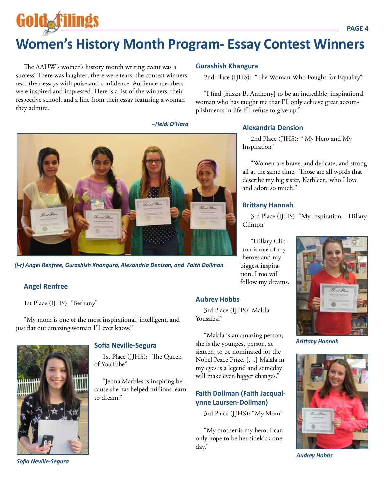# Goldaf **Women's History Month Program- Essay Contest Winners**

The AAUW's women's history month writing event was a success! There was laughter; there were tears: the contest winners read their essays with poise and confidence. Audience members were inspired and impressed. Here is a list of the winners, their respective school, and a line from their essay featuring a woman they admire.

**Gurashish Khangura**

2nd Place (IJHS): "The Woman Who Fought for Equality"

"I find [Susan B. Anthony] to be an incredible, inspirational woman who has taught me that I'll only achieve great accomplishments in life if I refuse to give up."

*–Heidi O'Hara*



2nd Place (JJHS): " My Hero and My Inspiration"

"Women are brave, and delicate, and strong all at the same time. Those are all words that describe my big sister, Kathleen, who I love and adore so much."

#### **Brittany Hannah**

3rd Place (IJHS): "My Inspiration—Hillary Clinton"

"Hillary Clinton is one of my heroes and my biggest inspiration. I too will follow my dreams.

#### **Aubrey Hobbs**

3rd Place (IJHS): Malala Yousafzai"

"Malala is an amazing person; she is the youngest person, at sixteen, to be nominated for the Nobel Peace Prize. […] Malala in my eyes is a legend and someday will make even bigger changes."

### **Faith Dollman (Faith Jacqualynne Laursen-Dollman)**

3rd Place (JJHS): "My Mom"

"My mother is my hero; I can only hope to be her sidekick one day."



*Brittany Hannah*



*Audrey Hobbs*



*(l-r) Angel Renfree, Gurashish Khangura, Alexandria Denison, and Faith Dollman*

#### **Angel Renfree**

1st Place (IJHS): "Bethany"

"My mom is one of the most inspirational, intelligent, and just flat out amazing woman I'll ever know."



*Sofia Neville-Segura*

**Sofia Neville-Segura**

1st Place (JJHS): "The Queen of YouTube"

"Jenna Marbles is inspiring because she has helped millions learn to dream."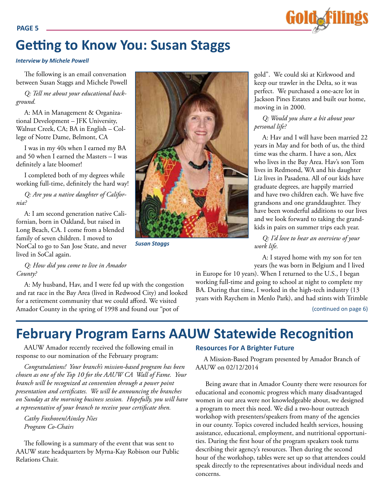

## **Getting to Know You: Susan Staggs**

#### *Interview by Michele Powell*

The following is an email conversation between Susan Staggs and Michele Powell

*Q: Tell me about your educational background.*

A: MA in Management & Organizational Development – JFK University, Walnut Creek, CA; BA in English – College of Notre Dame, Belmont, CA

I was in my 40s when I earned my BA and 50 when I earned the Masters – I was definitely a late bloomer!

I completed both of my degrees while working full-time, definitely the hard way!

*Q: Are you a native daughter of California?* 

A: I am second generation native Californian, born in Oakland, but raised in Long Beach, CA. I come from a blended family of seven children. I moved to NorCal to go to San Jose State, and never lived in SoCal again.

*Q: How did you come to live in Amador County?*

A: My husband, Hav, and I were fed up with the congestion and rat race in the Bay Area (lived in Redwood City) and looked for a retirement community that we could afford. We visited Amador County in the spring of 1998 and found our "pot of



*Susan Staggs*

gold". We could ski at Kirkwood and keep our trawler in the Delta, so it was perfect. We purchased a one-acre lot in Jackson Pines Estates and built our home, moving in in 2000.

*Q: Would you share a bit about your personal life?*

A: Hav and I will have been married 22 years in May and for both of us, the third time was the charm. I have a son, Alex who lives in the Bay Area. Hav's son Tom lives in Redmond, WA and his daughter Liz lives in Pasadena. All of our kids have graduate degrees, are happily married and have two children each. We have five grandsons and one granddaughter. They have been wonderful additions to our lives and we look forward to taking the grandkids in pairs on summer trips each year.

*Q: I'd love to hear an overview of your work life.*

A: I stayed home with my son for ten years (he was born in Belgium and I lived

in Europe for 10 years). When I returned to the U.S., I began working full-time and going to school at night to complete my BA. During that time, I worked in the high-tech industry (13 years with Raychem in Menlo Park), and had stints with Trimble

(continued on page 6)

## **February Program Earns AAUW Statewide Recognition**

AAUW Amador recently received the following email in response to our nomination of the February program:

*Congratulations! Your branch's mission-based program has been chosen as one of the Top 10 for the AAUW CA Wall of Fame. Your branch will be recognized at convention through a power point presentation and certificates. We will be announcing the branches on Sunday at the morning business session. Hopefully, you will have a representative of your branch to receive your certificate then.* 

*Cathy Foxhoven/Ainsley Nies Program Co-Chairs*

The following is a summary of the event that was sent to AAUW state headquarters by Myrna-Kay Robison our Public Relations Chair.

#### **Resources For A Brighter Future**

A Mission-Based Program presented by Amador Branch of AAUW on 02/12/2014

 Being aware that in Amador County there were resources for educational and economic progress which many disadvantaged women in our area were not knowledgeable about, we designed a program to meet this need. We did a two-hour outreach workshop with presenters/speakers from many of the agencies in our county. Topics covered included health services, housing assistance, educational, employment, and nutritional opportunities. During the first hour of the program speakers took turns describing their agency's resources. Then during the second hour of the workshop, tables were set up so that attendees could speak directly to the representatives about individual needs and concerns.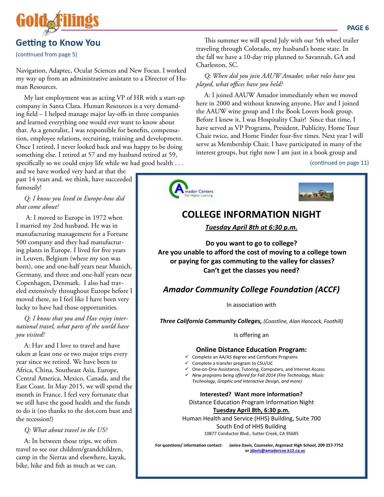

## **Getting to Know You**

(continued from page 5)

Navigation, Adaptec, Ocular Sciences and New Focus. I worked my way up from an administrative assistant to a Director of Human Resources.

My last employment was as acting VP of HR with a start-up company in Santa Clara. Human Resources is a very demanding field – I helped manage major lay-offs in three companies and learned everything one would ever want to know about that. As a generalist, I was responsible for benefits, compensation, employee relations, recruiting, training and development. Once I retired, I never looked back and was happy to be doing something else. I retired at 57 and my husband retired at 59, specifically so we could enjoy life while we had good health . . .

and we have worked very hard at that the past 14 years and, we think, have succeeded famously!

*Q: I know you lived in Europe-how did that come about?*

 A: I moved to Europe in 1972 when I married my 2nd husband. He was in manufacturing management for a Fortune 500 company and they had manufacturing plants in Europe. I lived for five years in Leuven, Belgium (where my son was born), one and one-half years near Munich, Germany, and three and one-half years near Copenhagen, Denmark. I also had traveled extensively throughout Europe before I moved there, so I feel like I have been very lucky to have had those opportunities.

*Q: I know that you and Hav enjoy international travel, what parts of the world have you visited?*

A: Hav and I love to travel and have taken at least one or two major trips every year since we retired. We have been to Africa, China, Southeast Asia, Europe, Central America, Mexico, Canada, and the East Coast. In May 2015, we will spend the month in France. I feel very fortunate that we still have the good health and the funds to do it (no thanks to the dot.com bust and the recession!)

*Q: What about travel in the US?*

A: In between those trips, we often travel to see our children/grandchildren, camp in the Sierras and elsewhere, kayak, bike, hike and fish as much as we can.

This summer we will spend July with our 5th wheel trailer traveling through Colorado, my husband's home state. In the fall we have a 10-day trip planned to Savannah, GA and Charleston, SC.

*Q: When did you join AAUW Amador, what roles have you played, what offices have you held?*

A: I joined AAUW Amador immediately when we moved here in 2000 and without knowing anyone, Hav and I joined the AAUW wine group and I the Book Lovers book group. Before I knew it, I was Hospitality Chair! Since that time, I have served as VP Programs, President, Publicity, Home Tour Chair twice, and Home Finder four-five times. Next year I will serve as Membership Chair. I have participated in many of the interest groups, but right now I am just in a book group and

#### (continued on page 11)



## **COLLEGE INFORMATION NIGHT**

*Tuesday April 8th at 6:30 p.m.*

**Do you want to go to college? Are you unable to afford the cost of moving to a college town or paying for gas commuting to the valley for classes? Can't get the classes you need?**

## *Amador Community College Foundation (ACCF)*

In association with

*Three California Community Colleges, (Coastline, Alan Hancock, Foothill)*

Is offering an

#### **Online Distance Education Program:**

- $\checkmark$  Complete an AA/AS degree and Certificate Programs
- $\checkmark$  Complete a transfer program to CSU/UC
- One-on-One Assistance, Tutoring, Computers, and Internet Access
- *New programs being offered for Fall 2014 (Fire Technology, Music* 
	- *Technology, Graphic and Interactive Design, and more)*

**Interested? Want more information?**

Distance Education Program Information Night **Tuesday April 8th, 6:30 p.m.**

Human Health and Service (HHS) Building, Suite 700 South End of HHS Building 10877 Conductor Blvd., Sutter Creek, CA 95685

**For questions/ information contact: Janice Davis, Counselor, Argonaut High School, 209 257-7752 or jdavis@amadorcoe.k12.ca.us**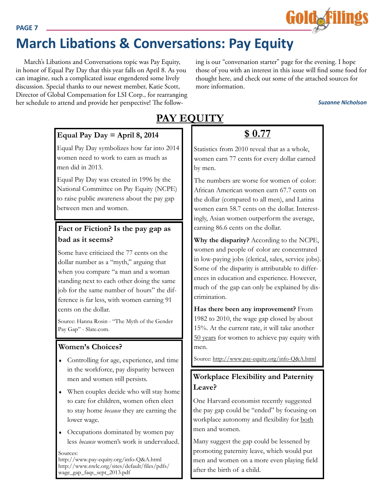#### **PAGE 7**

## **March Libations & Conversations: Pay Equity**

March's Libations and Conversations topic was Pay Equity, in honor of Equal Pay Day that this year falls on April 8. As you can imagine, such a complicated issue engendered some lively discussion. Special thanks to our newest member, Katie Scott, Director of Global Compensation for LSI Corp., for rearranging her schedule to attend and provide her perspective! The following is our "conversation starter" page for the evening. I hope those of you with an interest in this issue will find some food for thought here, and check out some of the attached sources for more information.

*Suzanne Nicholson*

Gold**e**filings

### **Equal Pay Day = April 8, 2014**

Equal Pay Day symbolizes how far into 2014 women need to work to earn as much as men did in 2013.

Equal Pay Day was created in 1996 by the National Committee on Pay Equity (NCPE) to raise public awareness about the pay gap between men and women.

## **Fact or Fiction? Is the pay gap as bad as it seems?**

Some have criticized the 77 cents on the dollar number as a "myth," arguing that when you compare "a man and a woman standing next to each other doing the same job for the same number of hours" the difference is far less, with women earning 91 cents on the dollar.

Source: Hanna Rosin - "The Myth of the Gender Pay Gap" - Slate.com.

### **Women's Choices?**

- Controlling for age, experience, and time in the workforce, pay disparity between men and women still persists.
- When couples decide who will stay home to care for children, women often elect to stay home *because* they are earning the lower wage.
- Occupations dominated by women pay less *because* women's work is undervalued.

Sources: http://www.pay-equity.org/info-Q&A.html http://www.nwlc.org/sites/default/files/pdfs/ wage\_gap\_faqs\_sept\_2013.pdf

## **PAY EQUITY**

## **\$ 0.77**

Statistics from 2010 reveal that as a whole, women earn 77 cents for every dollar earned by men.

The numbers are worse for women of color: African American women earn 67.7 cents on the dollar (compared to all men), and Latina women earn 58.7 cents on the dollar. Interestingly, Asian women outperform the average, earning 86.6 cents on the dollar.

**Why the disparity?** According to the NCPE, women and people of color are concentrated in low-paying jobs (clerical, sales, service jobs). Some of the disparity is attributable to differences in education and experience. However, much of the gap can only be explained by discrimination.

**Has there been any improvement?** From 1982 to 2010, the wage gap closed by about 15%. At the current rate, it will take another 50 years for women to achieve pay equity with men.

Source: http://www.pay-equity.org/info-Q&A.html

## **Workplace Flexibility and Paternity Leave?**

One Harvard economist recently suggested the pay gap could be "ended" by focusing on workplace autonomy and flexibility for both men and women.

Many suggest the gap could be lessened by promoting paternity leave, which would put men and women on a more even playing field after the birth of a child.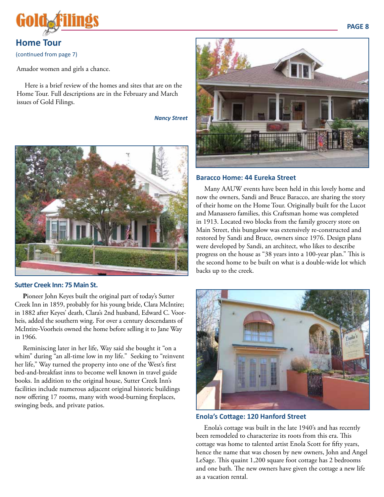

## **Home Tour** (continued from page 7)

Amador women and girls a chance.

Here is a brief review of the homes and sites that are on the Home Tour. Full descriptions are in the February and March issues of Gold Filings.

*Nancy Street*



#### **Sutter Creek Inn: 75 Main St.**

**P**ioneer John Keyes built the original part of today's Sutter Creek Inn in 1859, probably for his young bride, Clara McIntire; in 1882 after Keyes' death, Clara's 2nd husband, Edward C. Voorheis, added the southern wing. For over a century descendants of McIntire-Voorheis owned the home before selling it to Jane Way in 1966.

Reminiscing later in her life, Way said she bought it "on a whim" during "an all-time low in my life." Seeking to "reinvent her life," Way turned the property into one of the West's first bed-and-breakfast inns to become well known in travel guide books. In addition to the original house, Sutter Creek Inn's facilities include numerous adjacent original historic buildings now offering 17 rooms, many with wood-burning fireplaces, swinging beds, and private patios.



#### **Baracco Home: 44 Eureka Street**

Many AAUW events have been held in this lovely home and now the owners, Sandi and Bruce Baracco, are sharing the story of their home on the Home Tour. Originally built for the Lucot and Manassero families, this Craftsman home was completed in 1913. Located two blocks from the family grocery store on Main Street, this bungalow was extensively re-constructed and restored by Sandi and Bruce, owners since 1976. Design plans were developed by Sandi, an architect, who likes to describe progress on the house as "38 years into a 100-year plan." This is the second home to be built on what is a double-wide lot which backs up to the creek.



#### **Enola's Cottage: 120 Hanford Street**

Enola's cottage was built in the late 1940's and has recently been remodeled to characterize its roots from this era. This cottage was home to talented artist Enola Scott for fifty years, hence the name that was chosen by new owners, John and Angel LeSage. This quaint 1,200 square foot cottage has 2 bedrooms and one bath. The new owners have given the cottage a new life as a vacation rental.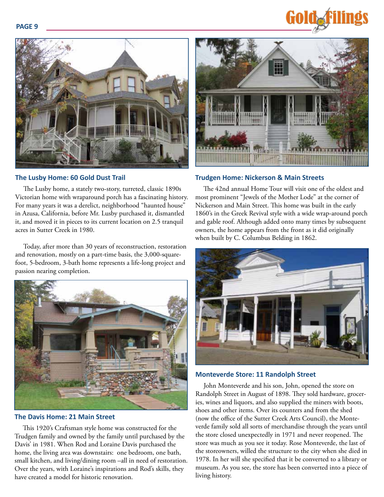**PAGE 9**





#### **The Lusby Home: 60 Gold Dust Trail**

The Lusby home, a stately two-story, turreted, classic 1890s Victorian home with wraparound porch has a fascinating history. For many years it was a derelict, neighborhood "haunted house" in Azusa, California, before Mr. Lusby purchased it, dismantled it, and moved it in pieces to its current location on 2.5 tranquil acres in Sutter Creek in 1980.

Today, after more than 30 years of reconstruction, restoration and renovation, mostly on a part-time basis, the 3,000-squarefoot, 5-bedroom, 3-bath home represents a life-long project and passion nearing completion.



#### **The Davis Home: 21 Main Street**

This 1920's Craftsman style home was constructed for the Trudgen family and owned by the family until purchased by the Davis' in 1981. When Rod and Loraine Davis purchased the home, the living area was downstairs: one bedroom, one bath, small kitchen, and living/dining room –all in need of restoration. Over the years, with Loraine's inspirations and Rod's skills, they have created a model for historic renovation.



#### **Trudgen Home: Nickerson & Main Streets**

The 42nd annual Home Tour will visit one of the oldest and most prominent "Jewels of the Mother Lode" at the corner of Nickerson and Main Street. This home was built in the early 1860's in the Greek Revival style with a wide wrap-around porch and gable roof. Although added onto many times by subsequent owners, the home appears from the front as it did originally when built by C. Columbus Belding in 1862.



#### **Monteverde Store: 11 Randolph Street**

John Monteverde and his son, John, opened the store on Randolph Street in August of 1898. They sold hardware, groceries, wines and liquors, and also supplied the miners with boots, shoes and other items. Over its counters and from the shed (now the office of the Sutter Creek Arts Council), the Monteverde family sold all sorts of merchandise through the years until the store closed unexpectedly in 1971 and never reopened. The store was much as you see it today. Rose Monteverde, the last of the storeowners, willed the structure to the city when she died in 1978. In her will she specified that it be converted to a library or museum. As you see, the store has been converted into a piece of living history.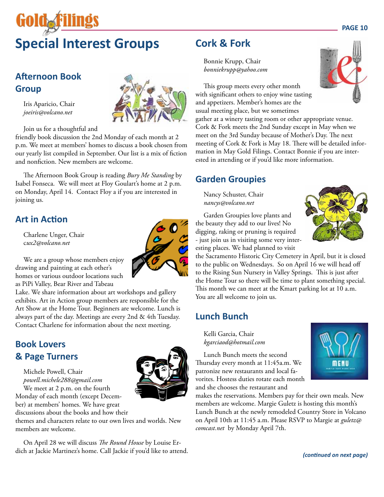# **GOIOAR Special Interest Groups**

## **Afternoon Book Group**

Iris Aparicio, Chair *joeiris@volcano.net*

Join us for a thoughtful and

friendly book discussion the 2nd Monday of each month at 2 p.m. We meet at members' homes to discuss a book chosen from our yearly list compiled in September. Our list is a mix of fiction and nonfiction. New members are welcome.

The Afternoon Book Group is reading *Bury Me Standing* by Isabel Fonseca. We will meet at Floy Goulart's home at 2 p.m. on Monday, April 14. Contact Floy a if you are interested in joining us.

## **Art in Action**

Charlene Unger, Chair c*ux2@volcano.net*



We are a group whose members enjoy drawing and painting at each other's homes or various outdoor locations such as PiPi Valley, Bear River and Tabeau

Lake. We share information about art workshops and gallery exhibits. Art in Action group members are responsible for the Art Show at the Home Tour. Beginners are welcome. Lunch is always part of the day. Meetings are every 2nd & 4th Tuesday. Contact Charlene for information about the next meeting.

## **Book Lovers & Page Turners**

Michele Powell, Chair *powell.michele288@gmail.com* We meet at 2 p.m. on the fourth Monday of each month (except December) at members' homes. We have great



On April 28 we will discuss *The Round House* by Louise Erdich at Jackie Martinez's home. Call Jackie if you'd like to attend.

## **Cork & Fork**

Bonnie Krupp, Chair *bonniekrupp@yahoo.com*

This group meets every other month with significant others to enjoy wine tasting and appetizers. Member's homes are the usual meeting place, but we sometimes

gather at a winery tasting room or other appropriate venue. Cork & Fork meets the 2nd Sunday except in May when we meet on the 3rd Sunday because of Mother's Day. The next meeting of Cork & Fork is May 18. There will be detailed information in May Gold Filings. Contact Bonnie if you are interested in attending or if you'd like more information.

## **Garden Groupies**

Nancy Schuster, Chair *nancys@volcano.net*

Garden Groupies love plants and the beauty they add to our lives! No digging, raking or pruning is required - just join us in visiting some very interesting places. We had planned to visit

the Sacramento Historic City Cemetery in April, but it is closed to the public on Wednesdays. So on April 16 we will head off to the Rising Sun Nursery in Valley Springs. This is just after the Home Tour so there will be time to plant something special. This month we can meet at the Kmart parking lot at 10 a.m. You are all welcome to join us.

## **Lunch Bunch**

Kelli Garcia, Chair *kgarciaod@hotmail.com*

Lunch Bunch meets the second Thursday every month at 11:45a.m. We patronize new restaurants and local favorites. Hostess duties rotate each month and she chooses the restaurant and



makes the reservations. Members pay for their own meals. New members are welcome. Margie Guletz is hosting this month's Lunch Bunch at the newly remodeled Country Store in Volcano on April 10th at 11:45 a.m. Please RSVP to Margie at *guletz@ comcast.net* by Monday April 7th.